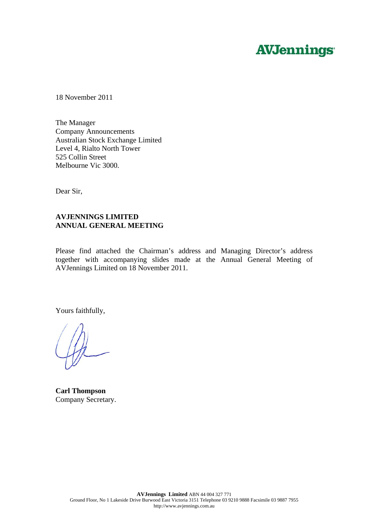# **AVJennings**

18 November 2011

The Manager Company Announcements Australian Stock Exchange Limited Level 4, Rialto North Tower 525 Collin Street Melbourne Vic 3000.

Dear Sir,

#### **AVJENNINGS LIMITED ANNUAL GENERAL MEETING**

Please find attached the Chairman's address and Managing Director's address together with accompanying slides made at the Annual General Meeting of AVJennings Limited on 18 November 2011.

Yours faithfully,

**Carl Thompson**  Company Secretary.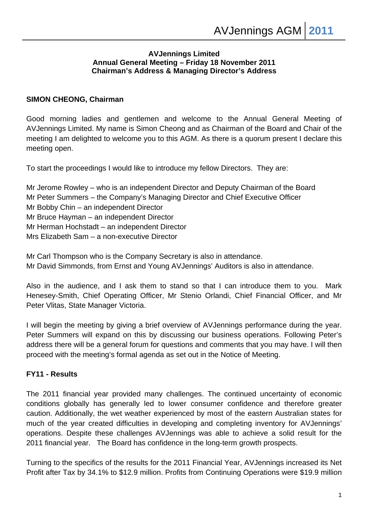#### **AVJennings Limited Annual General Meeting – Friday 18 November 2011 Chairman's Address & Managing Director's Address**

## **SIMON CHEONG, Chairman**

Good morning ladies and gentlemen and welcome to the Annual General Meeting of AVJennings Limited. My name is Simon Cheong and as Chairman of the Board and Chair of the meeting I am delighted to welcome you to this AGM. As there is a quorum present I declare this meeting open.

To start the proceedings I would like to introduce my fellow Directors. They are:

Mr Jerome Rowley – who is an independent Director and Deputy Chairman of the Board Mr Peter Summers – the Company's Managing Director and Chief Executive Officer Mr Bobby Chin – an independent Director Mr Bruce Hayman – an independent Director Mr Herman Hochstadt – an independent Director Mrs Elizabeth Sam – a non-executive Director

Mr Carl Thompson who is the Company Secretary is also in attendance. Mr David Simmonds, from Ernst and Young AVJennings' Auditors is also in attendance.

Also in the audience, and I ask them to stand so that I can introduce them to you. Mark Henesey-Smith, Chief Operating Officer, Mr Stenio Orlandi, Chief Financial Officer, and Mr Peter Vlitas, State Manager Victoria.

I will begin the meeting by giving a brief overview of AVJennings performance during the year. Peter Summers will expand on this by discussing our business operations. Following Peter's address there will be a general forum for questions and comments that you may have. I will then proceed with the meeting's formal agenda as set out in the Notice of Meeting.

## **FY11 - Results**

The 2011 financial year provided many challenges. The continued uncertainty of economic conditions globally has generally led to lower consumer confidence and therefore greater caution. Additionally, the wet weather experienced by most of the eastern Australian states for much of the year created difficulties in developing and completing inventory for AVJennings' operations. Despite these challenges AVJennings was able to achieve a solid result for the 2011 financial year. The Board has confidence in the long-term growth prospects.

Turning to the specifics of the results for the 2011 Financial Year, AVJennings increased its Net Profit after Tax by 34.1% to \$12.9 million. Profits from Continuing Operations were \$19.9 million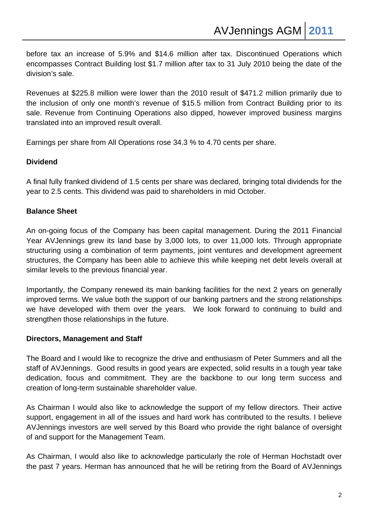before tax an increase of 5.9% and \$14.6 million after tax. Discontinued Operations which encompasses Contract Building lost \$1.7 million after tax to 31 July 2010 being the date of the division's sale.

Revenues at \$225.8 million were lower than the 2010 result of \$471.2 million primarily due to the inclusion of only one month's revenue of \$15.5 million from Contract Building prior to its sale. Revenue from Continuing Operations also dipped, however improved business margins translated into an improved result overall.

Earnings per share from All Operations rose 34.3 % to 4.70 cents per share.

#### **Dividend**

A final fully franked dividend of 1.5 cents per share was declared, bringing total dividends for the year to 2.5 cents. This dividend was paid to shareholders in mid October.

## **Balance Sheet**

An on-going focus of the Company has been capital management. During the 2011 Financial Year AVJennings grew its land base by 3,000 lots, to over 11,000 lots. Through appropriate structuring using a combination of term payments, joint ventures and development agreement structures, the Company has been able to achieve this while keeping net debt levels overall at similar levels to the previous financial year.

Importantly, the Company renewed its main banking facilities for the next 2 years on generally improved terms. We value both the support of our banking partners and the strong relationships we have developed with them over the years. We look forward to continuing to build and strengthen those relationships in the future.

#### **Directors, Management and Staff**

The Board and I would like to recognize the drive and enthusiasm of Peter Summers and all the staff of AVJennings. Good results in good years are expected, solid results in a tough year take dedication, focus and commitment. They are the backbone to our long term success and creation of long-term sustainable shareholder value.

As Chairman I would also like to acknowledge the support of my fellow directors. Their active support, engagement in all of the issues and hard work has contributed to the results. I believe AVJennings investors are well served by this Board who provide the right balance of oversight of and support for the Management Team.

As Chairman, I would also like to acknowledge particularly the role of Herman Hochstadt over the past 7 years. Herman has announced that he will be retiring from the Board of AVJennings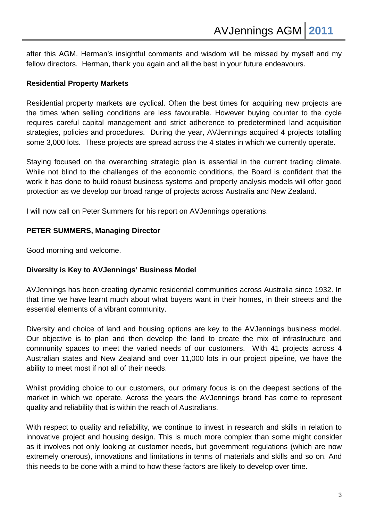after this AGM. Herman's insightful comments and wisdom will be missed by myself and my fellow directors. Herman, thank you again and all the best in your future endeavours.

## **Residential Property Markets**

Residential property markets are cyclical. Often the best times for acquiring new projects are the times when selling conditions are less favourable. However buying counter to the cycle requires careful capital management and strict adherence to predetermined land acquisition strategies, policies and procedures. During the year, AVJennings acquired 4 projects totalling some 3,000 lots. These projects are spread across the 4 states in which we currently operate.

Staying focused on the overarching strategic plan is essential in the current trading climate. While not blind to the challenges of the economic conditions, the Board is confident that the work it has done to build robust business systems and property analysis models will offer good protection as we develop our broad range of projects across Australia and New Zealand.

I will now call on Peter Summers for his report on AVJennings operations.

#### **PETER SUMMERS, Managing Director**

Good morning and welcome.

#### **Diversity is Key to AVJennings' Business Model**

AVJennings has been creating dynamic residential communities across Australia since 1932. In that time we have learnt much about what buyers want in their homes, in their streets and the essential elements of a vibrant community.

Diversity and choice of land and housing options are key to the AVJennings business model. Our objective is to plan and then develop the land to create the mix of infrastructure and community spaces to meet the varied needs of our customers. With 41 projects across 4 Australian states and New Zealand and over 11,000 lots in our project pipeline, we have the ability to meet most if not all of their needs.

Whilst providing choice to our customers, our primary focus is on the deepest sections of the market in which we operate. Across the years the AVJennings brand has come to represent quality and reliability that is within the reach of Australians.

With respect to quality and reliability, we continue to invest in research and skills in relation to innovative project and housing design. This is much more complex than some might consider as it involves not only looking at customer needs, but government regulations (which are now extremely onerous), innovations and limitations in terms of materials and skills and so on. And this needs to be done with a mind to how these factors are likely to develop over time.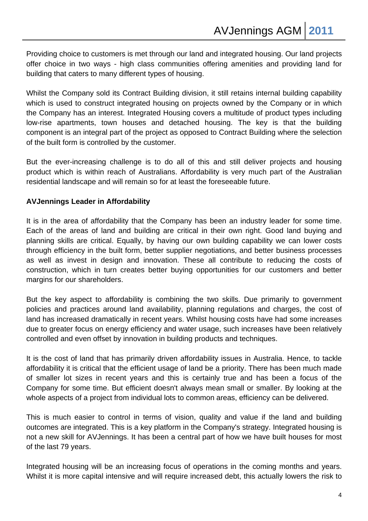Providing choice to customers is met through our land and integrated housing. Our land projects offer choice in two ways - high class communities offering amenities and providing land for building that caters to many different types of housing.

Whilst the Company sold its Contract Building division, it still retains internal building capability which is used to construct integrated housing on projects owned by the Company or in which the Company has an interest. Integrated Housing covers a multitude of product types including low-rise apartments, town houses and detached housing. The key is that the building component is an integral part of the project as opposed to Contract Building where the selection of the built form is controlled by the customer.

But the ever-increasing challenge is to do all of this and still deliver projects and housing product which is within reach of Australians. Affordability is very much part of the Australian residential landscape and will remain so for at least the foreseeable future.

## **AVJennings Leader in Affordability**

It is in the area of affordability that the Company has been an industry leader for some time. Each of the areas of land and building are critical in their own right. Good land buying and planning skills are critical. Equally, by having our own building capability we can lower costs through efficiency in the built form, better supplier negotiations, and better business processes as well as invest in design and innovation. These all contribute to reducing the costs of construction, which in turn creates better buying opportunities for our customers and better margins for our shareholders.

But the key aspect to affordability is combining the two skills. Due primarily to government policies and practices around land availability, planning regulations and charges, the cost of land has increased dramatically in recent years. Whilst housing costs have had some increases due to greater focus on energy efficiency and water usage, such increases have been relatively controlled and even offset by innovation in building products and techniques.

It is the cost of land that has primarily driven affordability issues in Australia. Hence, to tackle affordability it is critical that the efficient usage of land be a priority. There has been much made of smaller lot sizes in recent years and this is certainly true and has been a focus of the Company for some time. But efficient doesn't always mean small or smaller. By looking at the whole aspects of a project from individual lots to common areas, efficiency can be delivered.

This is much easier to control in terms of vision, quality and value if the land and building outcomes are integrated. This is a key platform in the Company's strategy. Integrated housing is not a new skill for AVJennings. It has been a central part of how we have built houses for most of the last 79 years.

Integrated housing will be an increasing focus of operations in the coming months and years. Whilst it is more capital intensive and will require increased debt, this actually lowers the risk to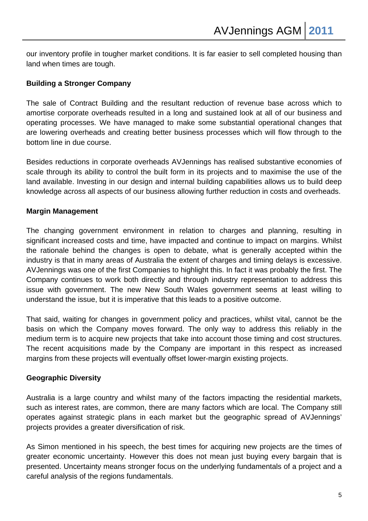our inventory profile in tougher market conditions. It is far easier to sell completed housing than land when times are tough.

## **Building a Stronger Company**

The sale of Contract Building and the resultant reduction of revenue base across which to amortise corporate overheads resulted in a long and sustained look at all of our business and operating processes. We have managed to make some substantial operational changes that are lowering overheads and creating better business processes which will flow through to the bottom line in due course.

Besides reductions in corporate overheads AVJennings has realised substantive economies of scale through its ability to control the built form in its projects and to maximise the use of the land available. Investing in our design and internal building capabilities allows us to build deep knowledge across all aspects of our business allowing further reduction in costs and overheads.

## **Margin Management**

The changing government environment in relation to charges and planning, resulting in significant increased costs and time, have impacted and continue to impact on margins. Whilst the rationale behind the changes is open to debate, what is generally accepted within the industry is that in many areas of Australia the extent of charges and timing delays is excessive. AVJennings was one of the first Companies to highlight this. In fact it was probably the first. The Company continues to work both directly and through industry representation to address this issue with government. The new New South Wales government seems at least willing to understand the issue, but it is imperative that this leads to a positive outcome.

That said, waiting for changes in government policy and practices, whilst vital, cannot be the basis on which the Company moves forward. The only way to address this reliably in the medium term is to acquire new projects that take into account those timing and cost structures. The recent acquisitions made by the Company are important in this respect as increased margins from these projects will eventually offset lower-margin existing projects.

#### **Geographic Diversity**

Australia is a large country and whilst many of the factors impacting the residential markets, such as interest rates, are common, there are many factors which are local. The Company still operates against strategic plans in each market but the geographic spread of AVJennings' projects provides a greater diversification of risk.

As Simon mentioned in his speech, the best times for acquiring new projects are the times of greater economic uncertainty. However this does not mean just buying every bargain that is presented. Uncertainty means stronger focus on the underlying fundamentals of a project and a careful analysis of the regions fundamentals.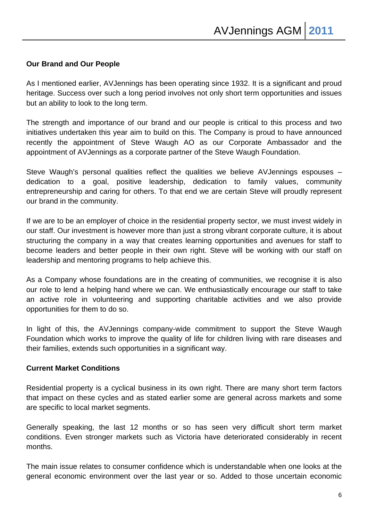## **Our Brand and Our People**

As I mentioned earlier, AVJennings has been operating since 1932. It is a significant and proud heritage. Success over such a long period involves not only short term opportunities and issues but an ability to look to the long term.

The strength and importance of our brand and our people is critical to this process and two initiatives undertaken this year aim to build on this. The Company is proud to have announced recently the appointment of Steve Waugh AO as our Corporate Ambassador and the appointment of AVJennings as a corporate partner of the Steve Waugh Foundation.

Steve Waugh's personal qualities reflect the qualities we believe AVJennings espouses – dedication to a goal, positive leadership, dedication to family values, community entrepreneurship and caring for others. To that end we are certain Steve will proudly represent our brand in the community.

If we are to be an employer of choice in the residential property sector, we must invest widely in our staff. Our investment is however more than just a strong vibrant corporate culture, it is about structuring the company in a way that creates learning opportunities and avenues for staff to become leaders and better people in their own right. Steve will be working with our staff on leadership and mentoring programs to help achieve this.

As a Company whose foundations are in the creating of communities, we recognise it is also our role to lend a helping hand where we can. We enthusiastically encourage our staff to take an active role in volunteering and supporting charitable activities and we also provide opportunities for them to do so.

In light of this, the AVJennings company-wide commitment to support the Steve Waugh Foundation which works to improve the quality of life for children living with rare diseases and their families, extends such opportunities in a significant way.

#### **Current Market Conditions**

Residential property is a cyclical business in its own right. There are many short term factors that impact on these cycles and as stated earlier some are general across markets and some are specific to local market segments.

Generally speaking, the last 12 months or so has seen very difficult short term market conditions. Even stronger markets such as Victoria have deteriorated considerably in recent months.

The main issue relates to consumer confidence which is understandable when one looks at the general economic environment over the last year or so. Added to those uncertain economic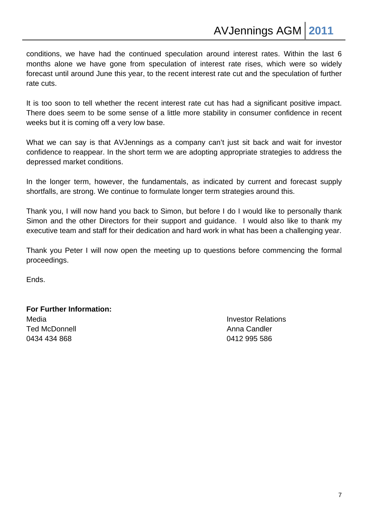conditions, we have had the continued speculation around interest rates. Within the last 6 months alone we have gone from speculation of interest rate rises, which were so widely forecast until around June this year, to the recent interest rate cut and the speculation of further rate cuts.

It is too soon to tell whether the recent interest rate cut has had a significant positive impact. There does seem to be some sense of a little more stability in consumer confidence in recent weeks but it is coming off a very low base.

What we can say is that AVJennings as a company can't just sit back and wait for investor confidence to reappear. In the short term we are adopting appropriate strategies to address the depressed market conditions.

In the longer term, however, the fundamentals, as indicated by current and forecast supply shortfalls, are strong. We continue to formulate longer term strategies around this.

Thank you, I will now hand you back to Simon, but before I do I would like to personally thank Simon and the other Directors for their support and guidance. I would also like to thank my executive team and staff for their dedication and hard work in what has been a challenging year.

Thank you Peter I will now open the meeting up to questions before commencing the formal proceedings.

Ends.

# **For Further Information:**  Media Investor Relations

Ted McDonnell Anna Candler Anna Candler 0434 434 868 0412 995 586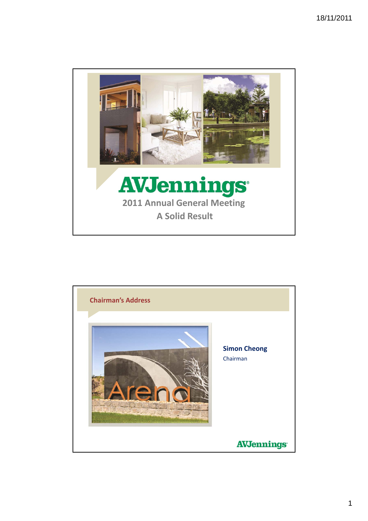

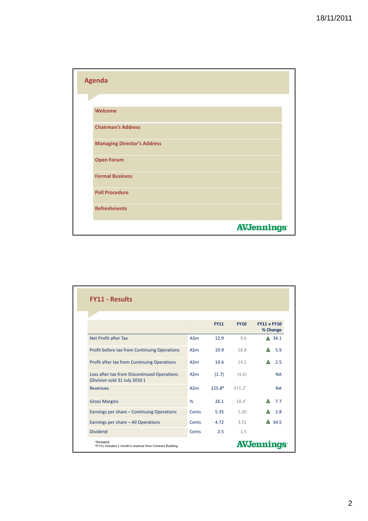

| <b>FY11 - Results</b>                                                       |         |                      |             |                                |
|-----------------------------------------------------------------------------|---------|----------------------|-------------|--------------------------------|
|                                                                             |         |                      |             |                                |
|                                                                             |         | <b>FY11</b>          | <b>FY10</b> | <b>FY11 v FY10</b><br>% Change |
| Net Profit after Tax                                                        | A\$m    | 12.9                 | 9.6         | $\triangle$ 34.1               |
| Profit before tax from Continuing Operations                                | A\$m    | 19.9                 | 18.8        | 5.9                            |
| <b>Profit after tax from Continuing Operations</b>                          | $A\sin$ | 14.6                 | 14.2        | 2.5                            |
| Loss after tax from Discontinued Operations<br>(Division sold 31 July 2010) | A\$m    | (1.7)                | (4.6)       | <b>NA</b>                      |
| <b>Revenues</b>                                                             | A\$m    | $225.8$ <sup>#</sup> | $471.2*$    | <b>NA</b>                      |
| <b>Gross Margins</b>                                                        | %       | 26.1                 | $18.4*$     | 7.7                            |
| Earnings per share - Continuing Operations                                  | Cents   | 5.35                 | 5.20        | 2.8                            |
| Earnings per share - All Operations                                         | Cents   | 4.72                 | 3.51        | $\triangle$ 34.5               |
| <b>Dividend</b>                                                             | Cents   | 2.5                  | 1.5         |                                |
| *Restated<br>#FY11 includes 1 month's revenue from Contract Building        |         |                      |             | <b>AVJennings</b>              |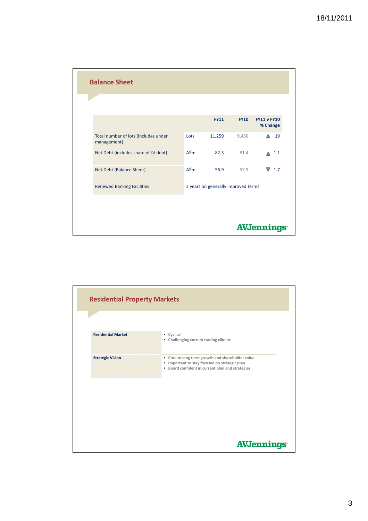| <b>Balance Sheet</b>                                |         |                                     |             |                                |
|-----------------------------------------------------|---------|-------------------------------------|-------------|--------------------------------|
|                                                     |         | <b>FY11</b>                         | <b>FY10</b> | <b>FY11 v FY10</b><br>% Change |
| Total number of lots (includes under<br>management) | Lots    | 11,259                              | 9,480       | 19                             |
| Net Debt (includes share of JV debt)                | A\$m    | 82.3                                | 81.4        | 1.1                            |
| Net Debt (Balance Sheet)                            | $A\sin$ | 56.9                                | 57.9        | 1.7                            |
| <b>Renewed Banking Facilities</b>                   |         | 2 years on generally improved terms |             |                                |

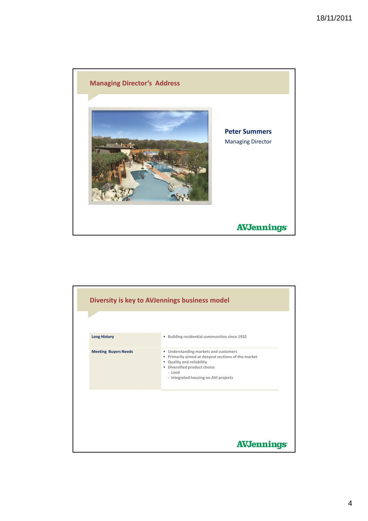

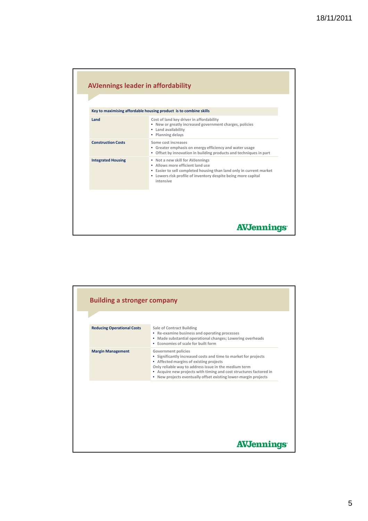| <b>AVJennings leader in affordability</b> |                                                                                                                                                                                                                                 |
|-------------------------------------------|---------------------------------------------------------------------------------------------------------------------------------------------------------------------------------------------------------------------------------|
|                                           | Key to maximising affordable housing product is to combine skills                                                                                                                                                               |
| Land                                      | Cost of land key driver in affordability<br>• New or greatly increased government charges, policies<br>Land availability<br>٠<br>• Planning delays                                                                              |
| <b>Construction Costs</b>                 | Some cost increases<br>• Greater emphasis on energy efficiency and water usage<br>• Offset by innovation in building products and techniques in part                                                                            |
| <b>Integrated Housing</b>                 | • Not a new skill for AVJennings<br>Allows more efficient land use<br>٠<br>Easier to sell completed housing than land only in current market<br>٠<br>• Lowers risk profile of inventory despite being more capital<br>intensive |
|                                           |                                                                                                                                                                                                                                 |
|                                           |                                                                                                                                                                                                                                 |
|                                           | <b>AVJennings</b>                                                                                                                                                                                                               |

| Sale of Contract Building<br>• Re-examine business and operating processes<br>• Made substantial operational changes; Lowering overheads<br>• Economies of scale for built form<br><b>Government policies</b><br>• Significantly increased costs and time to market for projects<br>• Affected margins of existing projects | <b>Building a stronger company</b> |  |
|-----------------------------------------------------------------------------------------------------------------------------------------------------------------------------------------------------------------------------------------------------------------------------------------------------------------------------|------------------------------------|--|
|                                                                                                                                                                                                                                                                                                                             | <b>Reducing Operational Costs</b>  |  |
| Only reliable way to address issue in the medium term<br>• Acquire new projects with timing and cost structures factored in<br>• New projects eventually offset existing lower-margin projects                                                                                                                              | <b>Margin Management</b>           |  |
|                                                                                                                                                                                                                                                                                                                             |                                    |  |
|                                                                                                                                                                                                                                                                                                                             |                                    |  |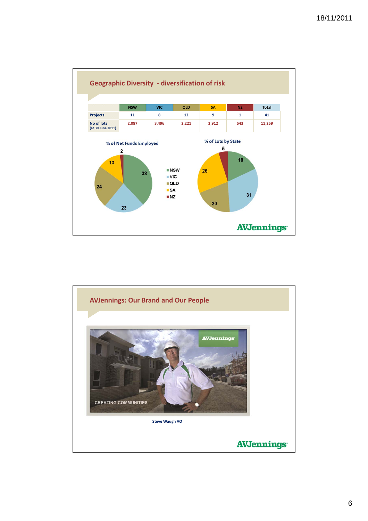

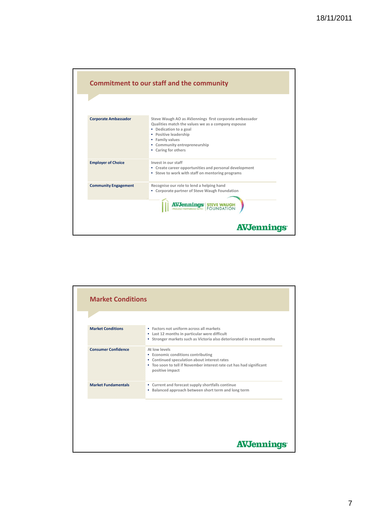|                             | <b>Commitment to our staff and the community</b>                                                                                                                                                                                           |
|-----------------------------|--------------------------------------------------------------------------------------------------------------------------------------------------------------------------------------------------------------------------------------------|
| <b>Corporate Ambassador</b> | Steve Waugh AO as AVJennings first corporate ambassador<br>Qualities match the values we as a company espouse<br>• Dedication to a goal<br>• Positive leadership<br>• Family values<br>• Community entrepreneurship<br>• Caring for others |
| <b>Employer of Choice</b>   | Invest in our staff<br>• Create career opportunities and personal development<br>• Steve to work with staff on mentoring programs                                                                                                          |
| <b>Community Engagement</b> | Recognise our role to lend a helping hand<br>• Corporate partner of Steve Waugh Foundation                                                                                                                                                 |
|                             | <b>AVJennings<sup>-</sup> STEVE WAUGH</b>                                                                                                                                                                                                  |
|                             | <b>AVJennings</b>                                                                                                                                                                                                                          |

| <b>Market Conditions</b>   |                                                                                                                                                                                                |
|----------------------------|------------------------------------------------------------------------------------------------------------------------------------------------------------------------------------------------|
| <b>Market Conditions</b>   | • Factors not uniform across all markets<br>• Last 12 months in particular were difficult<br>• Stronger markets such as Victoria also deteriorated in recent months                            |
| <b>Consumer Confidence</b> | At low levels<br>• Economic conditions contributing<br>• Continued speculation about interest rates<br>• Too soon to tell if November interest rate cut has had significant<br>positive impact |
| <b>Market Fundamentals</b> | • Current and forecast supply shortfalls continue<br>• Balanced approach between short term and long term                                                                                      |
|                            |                                                                                                                                                                                                |
|                            | <b>AVJennings</b>                                                                                                                                                                              |